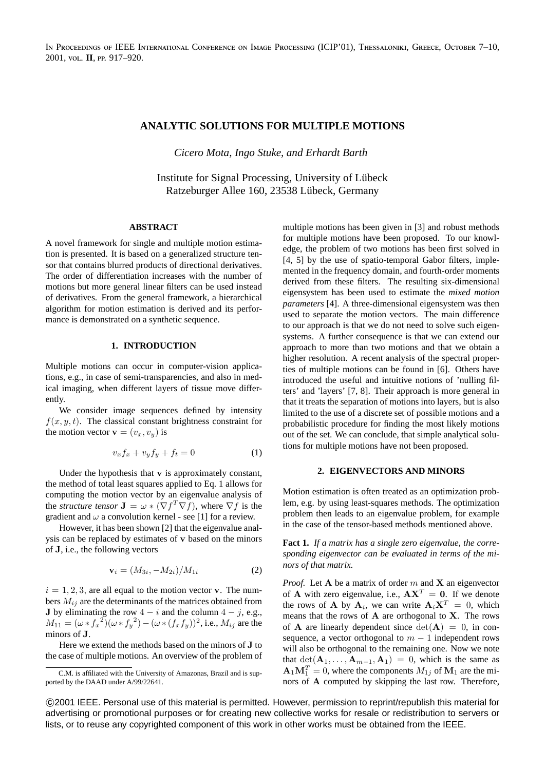IN PROCEEDINGS OF IEEE INTERNATIONAL CONFERENCE ON IMAGE PROCESSING (ICIP'01), THESSALONIKI, GREECE, OCTOBER 7-10, 2001, vol. II, PP. 917-920.

# **ANALYTIC SOLUTIONS FOR MULTIPLE MOTIONS**

*Cicero Mota, Ingo Stuke, and Erhardt Barth*

Institute for Signal Processing, University of Lubeck ¨ Ratzeburger Allee 160, 23538 Lübeck, Germany

## **ABSTRACT**

A novel framework for single and multiple motion estimation is presented. It is based on a generalized structure tensor that contains blurred products of directional derivatives. The order of differentiation increases with the number of motions but more general linear filters can be used instead of derivatives. From the general framework, a hierarchical algorithm for motion estimation is derived and its performance is demonstrated on a synthetic sequence.

### **1. INTRODUCTION**

Multiple motions can occur in computer-vision applications, e.g., in case of semi-transparencies, and also in medical imaging, when different layers of tissue move differently.

We consider image sequences defined by intensity  $f(x, y, t)$ . The classical constant brightness constraint for the motion vector  $\mathbf{v} = (v_x, v_y)$  is

$$
v_x f_x + v_y f_y + f_t = 0 \tag{1}
$$

Under the hypothesis that  $\bf{v}$  is approximately constant, the method of total least squares applied to Eq. 1 allows for computing the motion vector by an eigenvalue analysis of the *structure tensor*  $\mathbf{J} = \omega \ast (\nabla f^T \nabla f)$ , where  $\nabla f$  is the gradient and  $\omega$  a convolution kernel - see [1] for a review.

However, it has been shown [2] that the eigenvalue analysis can be replaced by estimates of v based on the minors of J, i.e., the following vectors

$$
\mathbf{v}_i = (M_{3i}, -M_{2i})/M_{1i} \tag{2}
$$

 $i = 1, 2, 3$ , are all equal to the motion vector **v**. The numbers  $M_{ij}$  are the determinants of the matrices obtained from J by eliminating the row  $4 - i$  and the column  $4 - j$ , e.g.,  $M_{11} = (\omega * f_x^2)(\omega * f_y^2) - (\omega * (f_x f_y))^2$ , i.e.,  $M_{ij}$  are the minors of J.

Here we extend the methods based on the minors of J to the case of multiple motions. An overview of the problem of multiple motions has been given in [3] and robust methods for multiple motions have been proposed. To our knowledge, the problem of two motions has been first solved in [4, 5] by the use of spatio-temporal Gabor filters, implemented in the frequency domain, and fourth-order moments derived from these filters. The resulting six-dimensional eigensystem has been used to estimate the *mixed motion parameters* [4]. A three-dimensional eigensystem was then used to separate the motion vectors. The main difference to our approach is that we do not need to solve such eigensystems. A further consequence is that we can extend our approach to more than two motions and that we obtain a higher resolution. A recent analysis of the spectral properties of multiple motions can be found in [6]. Others have introduced the useful and intuitive notions of 'nulling filters' and 'layers' [7, 8]. Their approach is more general in that it treats the separation of motions into layers, but is also limited to the use of a discrete set of possible motions and a probabilistic procedure for finding the most likely motions out of the set. We can conclude, that simple analytical solutions for multiple motions have not been proposed.

#### **2. EIGENVECTORS AND MINORS**

Motion estimation is often treated as an optimization problem, e.g. by using least-squares methods. The optimization problem then leads to an eigenvalue problem, for example in the case of the tensor-based methods mentioned above.

**Fact 1.** *If a matrix has a single zero eigenvalue, the corresponding eigenvector can be evaluated in terms of the minors of that matrix.*

*Proof.* Let  $A$  be a matrix of order  $m$  and  $X$  an eigenvector of **A** with zero eigenvalue, i.e.,  $AX^T = 0$ . If we denote the rows of **A** by  $A_i$ , we can write  $A_i X^T = 0$ , which means that the rows of  $A$  are orthogonal to  $X$ . The rows of **A** are linearly dependent since  $det(A) = 0$ , in consequence, a vector orthogonal to  $m - 1$  independent rows will also be orthogonal to the remaining one. Now we note that  $\det(\mathbf{A}_1, \dots, \mathbf{A}_{m-1}, \mathbf{A}_1) = 0$ , which is the same as  $\mathbf{A}_1 \mathbf{M}_1^T = 0$ , where the components  $M_{1j}$  of  $\mathbf{M}_1$  are the minors of A computed by skipping the last row. Therefore,

 c 2001 IEEE. Personal use of this material is permitted. However, permission to reprint/republish this material for advertising or promotional purposes or for creating new collective works for resale or redistribution to servers or lists, or to reuse any copyrighted component of this work in other works must be obtained from the IEEE.

C.M. is affiliated with the University of Amazonas, Brazil and is supported by the DAAD under A/99/22641.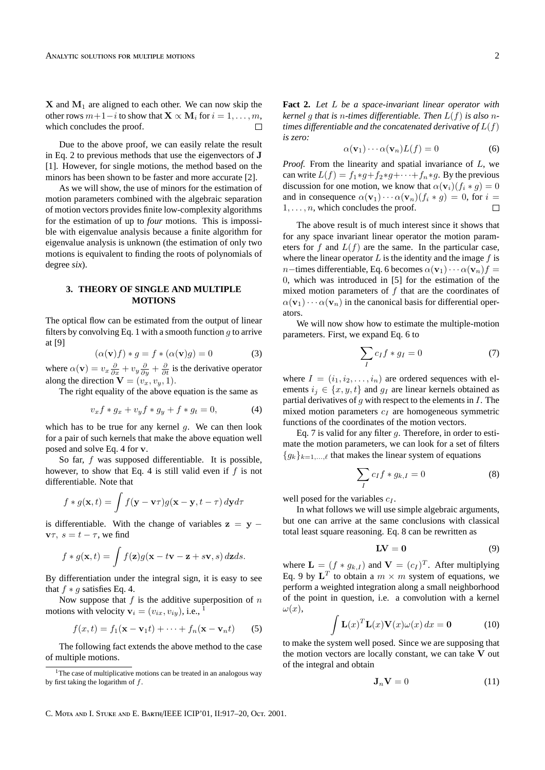$X$  and  $M_1$  are aligned to each other. We can now skip the other rows  $m+1-i$  to show that  $\mathbf{X} \propto \mathbf{M}_i$  for  $i = 1, \ldots, m$ , which concludes the proof.  $\Box$ 

Due to the above proof, we can easily relate the result in Eq. 2 to previous methods that use the eigenvectors of J [1]. However, for single motions, the method based on the minors has been shown to be faster and more accurate [2].

As we will show, the use of minors for the estimation of motion parameters combined with the algebraic separation of motion vectors provides finite low-complexity algorithms for the estimation of up to *four* motions. This is impossible with eigenvalue analysis because a finite algorithm for eigenvalue analysis is unknown (the estimation of only two motions is equivalent to finding the roots of polynomials of degree *six*).

### **3. THEORY OF SINGLE AND MULTIPLE MOTIONS**

The optical flow can be estimated from the output of linear filters by convolving Eq. 1 with a smooth function  $q$  to arrive at [9]

$$
(\alpha(\mathbf{v})f) * g = f * (\alpha(\mathbf{v})g) = 0 \tag{3}
$$

where  $\alpha(\mathbf{v}) = v_x \frac{\partial}{\partial x} + v_y \frac{\partial}{\partial y} + \frac{\partial}{\partial t}$  is the derivative operator along the direction  $\mathbf{V} = (v_x, v_y, 1)$ .

The right equality of the above equation is the same as

$$
v_x f * g_x + v_y f * g_y + f * g_t = 0,
$$
 (4)

which has to be true for any kernel  $q$ . We can then look for a pair of such kernels that make the above equation well posed and solve Eq. 4 for v.

So far, f was supposed differentiable. It is possible, however, to show that Eq. 4 is still valid even if  $f$  is not differentiable. Note that

$$
f * g(\mathbf{x}, t) = \int f(\mathbf{y} - \mathbf{v}\tau)g(\mathbf{x} - \mathbf{y}, t - \tau) d\mathbf{y}d\tau
$$

is differentiable. With the change of variables  $z = y$  $v\tau$ ,  $s = t - \tau$ , we find

$$
f * g(\mathbf{x}, t) = \int f(\mathbf{z}) g(\mathbf{x} - t\mathbf{v} - \mathbf{z} + s\mathbf{v}, s) d\mathbf{z} ds.
$$

By differentiation under the integral sign, it is easy to see that  $f * g$  satisfies Eq. 4.

Now suppose that  $f$  is the additive superposition of  $n$ motions with velocity  $\mathbf{v}_i = (v_{ix}, v_{iy}),$  i.e., <sup>1</sup>

$$
f(x,t) = f_1(\mathbf{x} - \mathbf{v}_1 t) + \dots + f_n(\mathbf{x} - \mathbf{v}_n t)
$$
 (5)

The following fact extends the above method to the case of multiple motions.

**Fact 2.** *Let* L *be a space-invariant linear operator with kernel* g *that is* n*-times differentiable. Then* L(f) *is also* n*times differentiable and the concatenated derivative of*  $L(f)$ *is zero:*

$$
\alpha(\mathbf{v}_1)\cdots\alpha(\mathbf{v}_n)L(f) = 0 \tag{6}
$$

*Proof.* From the linearity and spatial invariance of L, we can write  $L(f) = f_1 * g + f_2 * g + \cdots + f_n * g$ . By the previous discussion for one motion, we know that  $\alpha(\mathbf{v}_i)(f_i * g) = 0$ and in consequence  $\alpha(\mathbf{v}_1)\cdots\alpha(\mathbf{v}_n)(f_i * g) = 0$ , for  $i =$  $1, \ldots, n$ , which concludes the proof.  $\Box$ 

The above result is of much interest since it shows that for any space invariant linear operator the motion parameters for f and  $L(f)$  are the same. In the particular case, where the linear operator  $L$  is the identity and the image  $f$  is n−times differentiable, Eq. 6 becomes  $\alpha(\mathbf{v}_1)\cdots\alpha(\mathbf{v}_n) f =$ 0, which was introduced in [5] for the estimation of the mixed motion parameters of  $f$  that are the coordinates of  $\alpha(\mathbf{v}_1)\cdots\alpha(\mathbf{v}_n)$  in the canonical basis for differential operators.

We will now show how to estimate the multiple-motion parameters. First, we expand Eq. 6 to

$$
\sum_{I} c_{I} f * g_{I} = 0 \tag{7}
$$

where  $I = (i_1, i_2, \ldots, i_n)$  are ordered sequences with elements  $i_j \in \{x, y, t\}$  and  $q_i$  are linear kernels obtained as partial derivatives of  $q$  with respect to the elements in  $I$ . The mixed motion parameters  $c_I$  are homogeneous symmetric functions of the coordinates of the motion vectors.

Eq. 7 is valid for any filter  $q$ . Therefore, in order to estimate the motion parameters, we can look for a set of filters  ${g_k}_{k=1,\ldots,\ell}$  that makes the linear system of equations

$$
\sum_{I} c_{I} f * g_{k,I} = 0 \tag{8}
$$

well posed for the variables  $c_I$ .

In what follows we will use simple algebraic arguments, but one can arrive at the same conclusions with classical total least square reasoning. Eq. 8 can be rewritten as

$$
LV = 0 \tag{9}
$$

where  $\mathbf{L} = (f * g_{k,I})$  and  $\mathbf{V} = (c_I)^T$ . After multiplying Eq. 9 by  $\mathbf{L}^T$  to obtain a  $m \times m$  system of equations, we perform a weighted integration along a small neighborhood of the point in question, i.e. a convolution with a kernel  $\omega(x)$ .

$$
\int \mathbf{L}(x)^T \mathbf{L}(x) \mathbf{V}(x) \omega(x) dx = \mathbf{0}
$$
 (10)

to make the system well posed. Since we are supposing that the motion vectors are locally constant, we can take  $V$  out of the integral and obtain

$$
\mathbf{J}_n \mathbf{V} = 0 \tag{11}
$$

C. MOTA AND I. STUKE AND E. BARTH/IEEE ICIP'01, II:917-20, Oct. 2001.

<sup>&</sup>lt;sup>1</sup>The case of multiplicative motions can be treated in an analogous way by first taking the logarithm of  $f$ .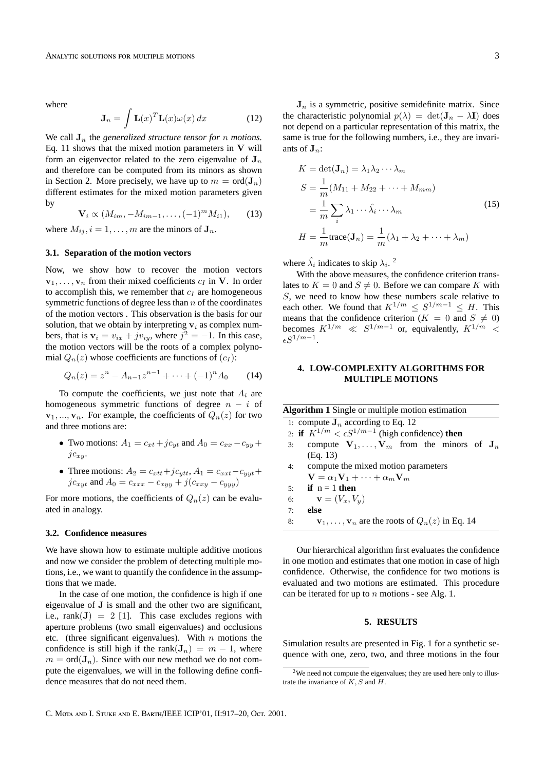where

$$
\mathbf{J}_n = \int \mathbf{L}(x)^T \mathbf{L}(x) \omega(x) \, dx \tag{12}
$$

We call  $J_n$  the *generalized structure tensor for n motions.* Eq. 11 shows that the mixed motion parameters in  $V$  will form an eigenvector related to the zero eigenvalue of  $J_n$ and therefore can be computed from its minors as shown in Section 2. More precisely, we have up to  $m = \text{ord}(\mathbf{J}_n)$ different estimates for the mixed motion parameters given by

$$
\mathbf{V}_{i} \propto (M_{im}, -M_{im-1}, \dots, (-1)^{m} M_{i1}), \qquad (13)
$$

where  $M_{ij}$ ,  $i = 1, \ldots, m$  are the minors of  $J_n$ .

### **3.1. Separation of the motion vectors**

Now, we show how to recover the motion vectors  ${\bf v}_1, \ldots, {\bf v}_n$  from their mixed coefficients  $c_I$  in V. In order to accomplish this, we remember that  $c_I$  are homogeneous symmetric functions of degree less than  $n$  of the coordinates of the motion vectors . This observation is the basis for our solution, that we obtain by interpreting  $v_i$  as complex numbers, that is  $v_i = v_{ix} + jv_{iy}$ , where  $j^2 = -1$ . In this case, the motion vectors will be the roots of a complex polynomial  $Q_n(z)$  whose coefficients are functions of  $(c_I)$ :

$$
Q_n(z) = z^n - A_{n-1}z^{n-1} + \dots + (-1)^n A_0 \tag{14}
$$

To compute the coefficients, we just note that  $A_i$  are homogeneous symmetric functions of degree  $n - i$  of  ${\bf v}_1, ..., {\bf v}_n$ . For example, the coefficients of  $Q_n(z)$  for two and three motions are:

- Two motions:  $A_1 = c_{xt} + j c_{yt}$  and  $A_0 = c_{xx} c_{yy} + j c_{yy}$  $jc_{xu}$ .
- Three motions:  $A_2 = c_{xtt}+jc_{ytt}$ ,  $A_1 = c_{xxt}-c_{yyt}+$  $jc_{xyt}$  and  $A_0 = c_{xxx} - c_{xyy} + j(c_{xxy} - c_{yyy})$

For more motions, the coefficients of  $Q_n(z)$  can be evaluated in analogy.

#### **3.2. Confidence measures**

We have shown how to estimate multiple additive motions and now we consider the problem of detecting multiple motions, i.e., we want to quantify the confidence in the assumptions that we made.

In the case of one motion, the confidence is high if one eigenvalue of J is small and the other two are significant, i.e.,  $rank(\mathbf{J}) = 2$  [1]. This case excludes regions with aperture problems (two small eigenvalues) and occlusions etc. (three significant eigenvalues). With  $n$  motions the confidence is still high if the rank $(J_n) = m - 1$ , where  $m = \text{ord}(\mathbf{J}_n)$ . Since with our new method we do not compute the eigenvalues, we will in the following define confidence measures that do not need them.

 $J_n$  is a symmetric, positive semidefinite matrix. Since the characteristic polynomial  $p(\lambda) = \det(\mathbf{J}_n - \lambda \mathbf{I})$  does not depend on a particular representation of this matrix, the same is true for the following numbers, i.e., they are invariants of  $J_n$ :

$$
K = \det(\mathbf{J}_n) = \lambda_1 \lambda_2 \cdots \lambda_m
$$
  
\n
$$
S = \frac{1}{m} (M_{11} + M_{22} + \cdots + M_{mm})
$$
  
\n
$$
= \frac{1}{m} \sum_i \lambda_1 \cdots \hat{\lambda}_i \cdots \lambda_m
$$
  
\n
$$
H = \frac{1}{m} \text{trace}(\mathbf{J}_n) = \frac{1}{m} (\lambda_1 + \lambda_2 + \cdots + \lambda_m)
$$
 (15)

where  $\hat{\lambda}_i$  indicates to skip  $\lambda_i$ .<sup>2</sup>

With the above measures, the confidence criterion translates to  $K = 0$  and  $S \neq 0$ . Before we can compare K with S, we need to know how these numbers scale relative to each other. We found that  $K^{1/m} \leq S^{1/m-1} \leq H$ . This means that the confidence criterion ( $K = 0$  and  $S \neq 0$ ) becomes  $K^{1/m} \ll S^{1/m-1}$  or, equivalently,  $K^{1/m} \ll$  $\epsilon S^{1/m-1}.$ 

# **4. LOW-COMPLEXITY ALGORITHMS FOR MULTIPLE MOTIONS**

| <b>Algorithm 1</b> Single or multiple motion estimation |                                                                          |
|---------------------------------------------------------|--------------------------------------------------------------------------|
|                                                         | 1: compute $J_n$ according to Eq. 12                                     |
|                                                         | 2: if $K^{1/m} < \epsilon S^{1/m-1}$ (high confidence) then              |
| 3:                                                      | compute $V_1, \ldots, V_m$ from the minors of $J_n$                      |
|                                                         | (Eq. 13)                                                                 |
|                                                         | 4: compute the mixed motion parameters                                   |
|                                                         | $\mathbf{V} = \alpha_1 \mathbf{V}_1 + \cdots + \alpha_m \mathbf{V}_m$    |
| $\overline{\mathbf{5}}$                                 | if $n = 1$ then                                                          |
| 6:                                                      | $\mathbf{v}=(V_x,V_y)$                                                   |
| 7:                                                      | else                                                                     |
| 8:                                                      | $\mathbf{v}_1, \ldots, \mathbf{v}_n$ are the roots of $Q_n(z)$ in Eq. 14 |

Our hierarchical algorithm first evaluates the confidence in one motion and estimates that one motion in case of high confidence. Otherwise, the confidence for two motions is evaluated and two motions are estimated. This procedure can be iterated for up to  $n$  motions - see Alg. 1.

### **5. RESULTS**

Simulation results are presented in Fig. 1 for a synthetic sequence with one, zero, two, and three motions in the four

 $2$ We need not compute the eigenvalues; they are used here only to illustrate the invariance of  $K, S$  and  $H$ .